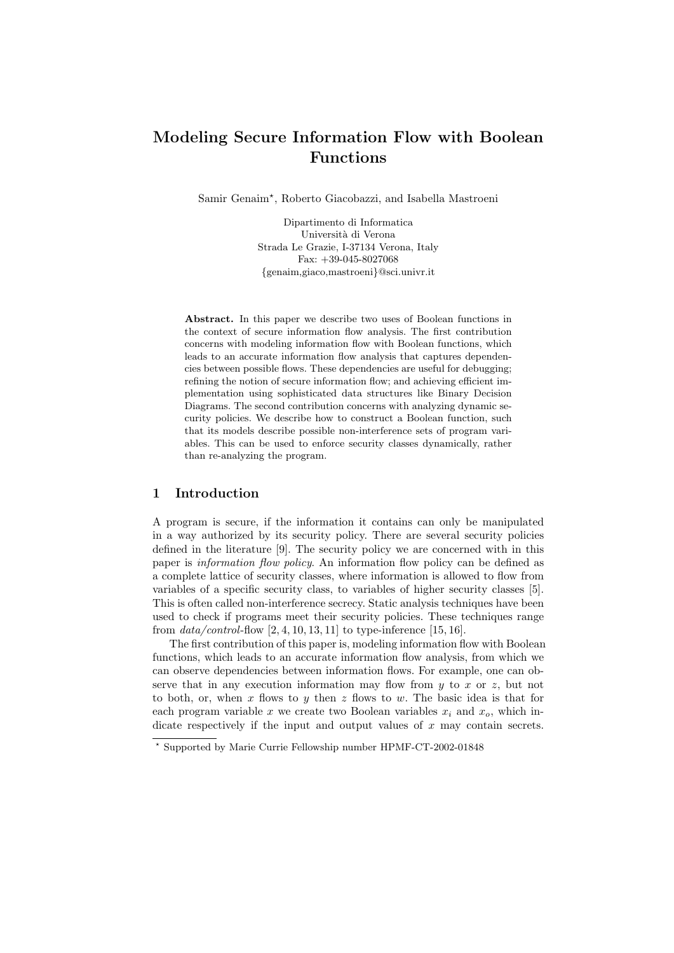# Modeling Secure Information Flow with Boolean Functions

Samir Genaim? , Roberto Giacobazzi, and Isabella Mastroeni

Dipartimento di Informatica Universit`a di Verona Strada Le Grazie, I-37134 Verona, Italy Fax: +39-045-8027068 {genaim,giaco,mastroeni}@sci.univr.it

Abstract. In this paper we describe two uses of Boolean functions in the context of secure information flow analysis. The first contribution concerns with modeling information flow with Boolean functions, which leads to an accurate information flow analysis that captures dependencies between possible flows. These dependencies are useful for debugging; refining the notion of secure information flow; and achieving efficient implementation using sophisticated data structures like Binary Decision Diagrams. The second contribution concerns with analyzing dynamic security policies. We describe how to construct a Boolean function, such that its models describe possible non-interference sets of program variables. This can be used to enforce security classes dynamically, rather than re-analyzing the program.

# 1 Introduction

A program is secure, if the information it contains can only be manipulated in a way authorized by its security policy. There are several security policies defined in the literature [9]. The security policy we are concerned with in this paper is information flow policy. An information flow policy can be defined as a complete lattice of security classes, where information is allowed to flow from variables of a specific security class, to variables of higher security classes [5]. This is often called non-interference secrecy. Static analysis techniques have been used to check if programs meet their security policies. These techniques range from  $data/control$ -flow  $[2, 4, 10, 13, 11]$  to type-inference  $[15, 16]$ .

The first contribution of this paper is, modeling information flow with Boolean functions, which leads to an accurate information flow analysis, from which we can observe dependencies between information flows. For example, one can observe that in any execution information may flow from  $y$  to  $x$  or  $z$ , but not to both, or, when x flows to y then z flows to w. The basic idea is that for each program variable x we create two Boolean variables  $x_i$  and  $x_o$ , which indicate respectively if the input and output values of  $x$  may contain secrets.

<sup>?</sup> Supported by Marie Currie Fellowship number HPMF-CT-2002-01848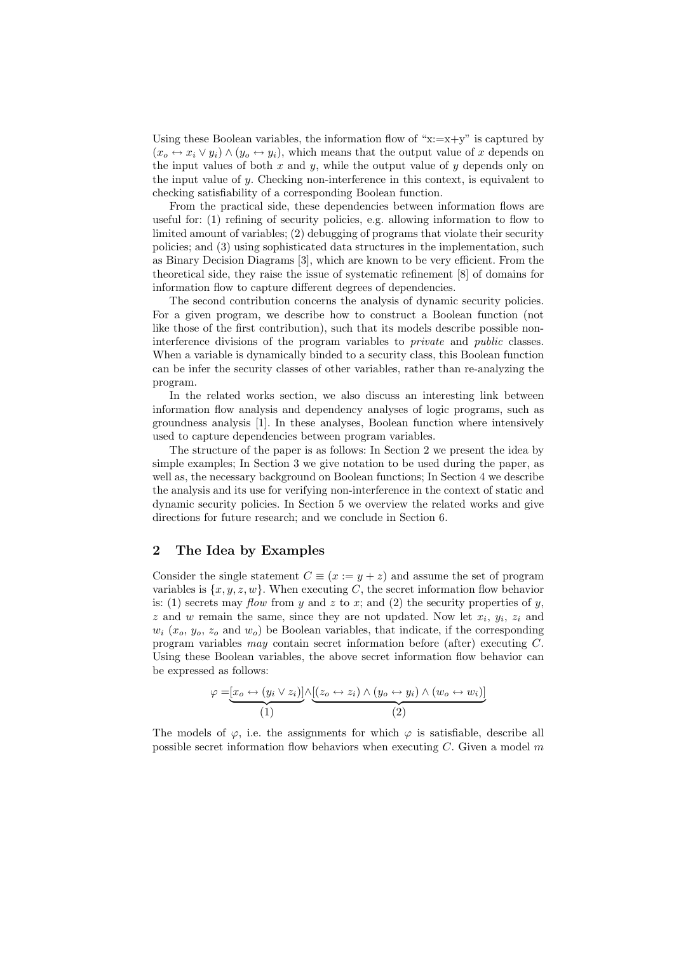Using these Boolean variables, the information flow of " $x:=x+y$ " is captured by  $(x_o \leftrightarrow x_i \vee y_i) \wedge (y_o \leftrightarrow y_i)$ , which means that the output value of x depends on the input values of both  $x$  and  $y$ , while the output value of  $y$  depends only on the input value of y. Checking non-interference in this context, is equivalent to checking satisfiability of a corresponding Boolean function.

From the practical side, these dependencies between information flows are useful for: (1) refining of security policies, e.g. allowing information to flow to limited amount of variables; (2) debugging of programs that violate their security policies; and (3) using sophisticated data structures in the implementation, such as Binary Decision Diagrams [3], which are known to be very efficient. From the theoretical side, they raise the issue of systematic refinement [8] of domains for information flow to capture different degrees of dependencies.

The second contribution concerns the analysis of dynamic security policies. For a given program, we describe how to construct a Boolean function (not like those of the first contribution), such that its models describe possible noninterference divisions of the program variables to private and public classes. When a variable is dynamically binded to a security class, this Boolean function can be infer the security classes of other variables, rather than re-analyzing the program.

In the related works section, we also discuss an interesting link between information flow analysis and dependency analyses of logic programs, such as groundness analysis [1]. In these analyses, Boolean function where intensively used to capture dependencies between program variables.

The structure of the paper is as follows: In Section 2 we present the idea by simple examples; In Section 3 we give notation to be used during the paper, as well as, the necessary background on Boolean functions; In Section 4 we describe the analysis and its use for verifying non-interference in the context of static and dynamic security policies. In Section 5 we overview the related works and give directions for future research; and we conclude in Section 6.

# 2 The Idea by Examples

Consider the single statement  $C \equiv (x := y + z)$  and assume the set of program variables is  $\{x, y, z, w\}$ . When executing C, the secret information flow behavior is: (1) secrets may flow from y and z to x; and (2) the security properties of y, z and w remain the same, since they are not updated. Now let  $x_i, y_i, z_i$  and  $w_i$  ( $x_o$ ,  $y_o$ ,  $z_o$  and  $w_o$ ) be Boolean variables, that indicate, if the corresponding program variables may contain secret information before (after) executing C. Using these Boolean variables, the above secret information flow behavior can be expressed as follows:

$$
\varphi = \underbrace{[x_o \leftrightarrow (y_i \vee z_i)]}_{(1)} \wedge \underbrace{[(z_o \leftrightarrow z_i) \wedge (y_o \leftrightarrow y_i) \wedge (w_o \leftrightarrow w_i)]}_{(2)}
$$

The models of  $\varphi$ , i.e. the assignments for which  $\varphi$  is satisfiable, describe all possible secret information flow behaviors when executing  $C$ . Given a model m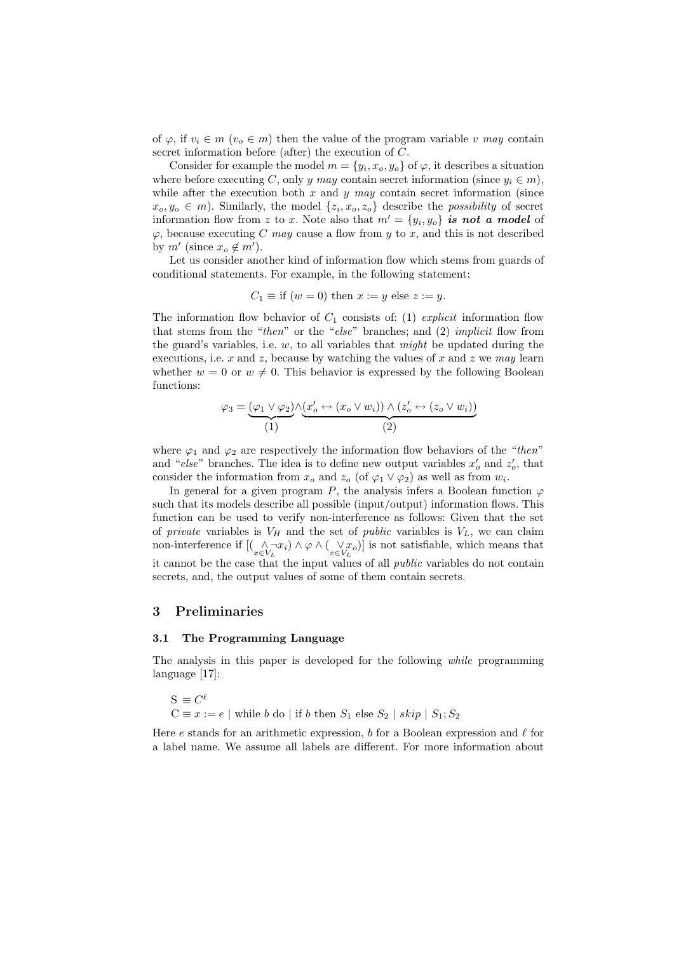of  $\varphi$ , if  $v_i \in m$  ( $v_o \in m$ ) then the value of the program variable v may contain secret information before (after) the execution of C.

Consider for example the model  $m = \{y_i, x_o, y_o\}$  of  $\varphi$ , it describes a situation where before executing C, only y may contain secret information (since  $y_i \in m$ ), while after the execution both x and y may contain secret information (since  $x_o, y_o \in m$ ). Similarly, the model  $\{z_i, x_o, z_o\}$  describe the *possibility* of secret information flow from z to x. Note also that  $m' = \{y_i, y_o\}$  is not a model of  $\varphi$ , because executing C may cause a flow from y to x, and this is not described by  $m'$  (since  $x_o \notin m'$ ).

Let us consider another kind of information flow which stems from guards of conditional statements. For example, in the following statement:

$$
C_1 \equiv
$$
 if  $(w = 0)$  then  $x := y$  else  $z := y$ .

The information flow behavior of  $C_1$  consists of: (1) explicit information flow that stems from the "then" or the "else" branches; and  $(2)$  implicit flow from the guard's variables, i.e.  $w$ , to all variables that *might* be updated during the executions, i.e. x and z, because by watching the values of x and z we may learn whether  $w = 0$  or  $w \neq 0$ . This behavior is expressed by the following Boolean functions:

$$
\varphi_3 = \underbrace{(\varphi_1 \lor \varphi_2)}_{(1)} \land \underbrace{(x'_o \leftrightarrow (x_o \lor w_i)) \land (z'_o \leftrightarrow (z_o \lor w_i))}_{(2)}
$$

where  $\varphi_1$  and  $\varphi_2$  are respectively the information flow behaviors of the "then" and "else" branches. The idea is to define new output variables  $x'_o$  and  $z'_o$ , that consider the information from  $x_o$  and  $z_o$  (of  $\varphi_1 \vee \varphi_2$ ) as well as from  $w_i$ .

In general for a given program P, the analysis infers a Boolean function  $\varphi$ such that its models describe all possible (input/output) information flows. This function can be used to verify non-interference as follows: Given that the set of private variables is  $V_H$  and the set of public variables is  $V_L$ , we can claim non-interference if  $[(\bigwedge_{x \in V_L} \neg x_i) \wedge \varphi \wedge (\bigvee_{x \in V_L} x_o)]$  is not satisfiable, which means that it cannot be the case that the input values of all public variables do not contain secrets, and, the output values of some of them contain secrets.

### 3 Preliminaries

### 3.1 The Programming Language

The analysis in this paper is developed for the following while programming language [17]:

$$
\mathbf{S} \equiv C^\ell
$$
  
 $\mathbf{C} \equiv x := e \mid \mbox{while } b \mbox{ do } | \mbox{ if } b \mbox{ then } S_1 \mbox{ else } S_2 \mid \mbox{skip } | \mbox{ $S_1$;} S_2$ 

Here e stands for an arithmetic expression, b for a Boolean expression and  $\ell$  for a label name. We assume all labels are different. For more information about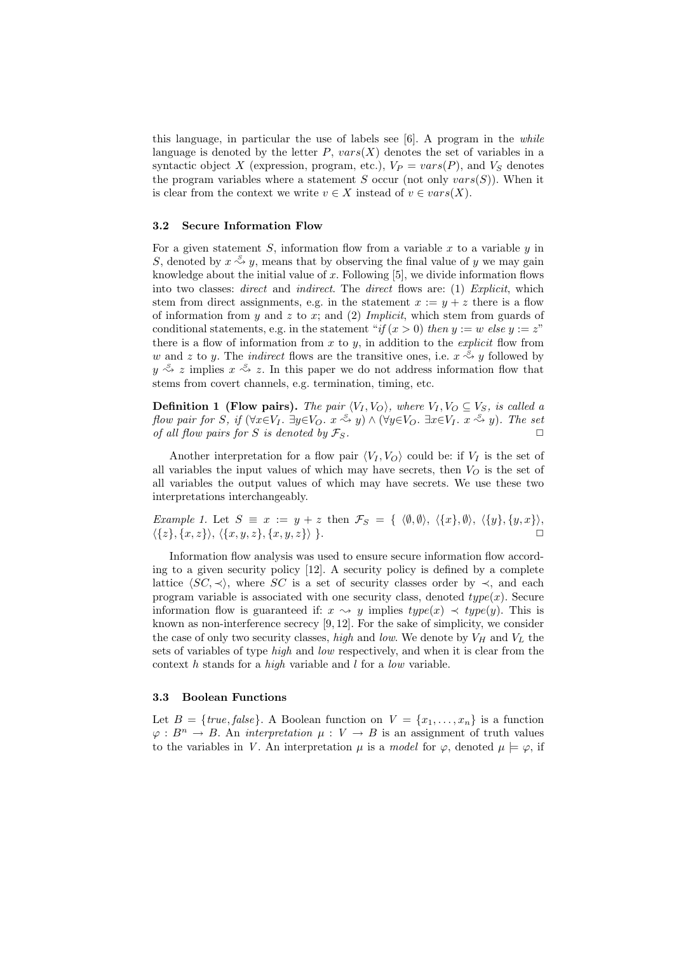this language, in particular the use of labels see  $[6]$ . A program in the *while* language is denoted by the letter  $P$ ,  $vars(X)$  denotes the set of variables in a syntactic object X (expression, program, etc.),  $V_P = vars(P)$ , and  $V_S$  denotes the program variables where a statement S occur (not only  $vars(S)$ ). When it is clear from the context we write  $v \in X$  instead of  $v \in vars(X)$ .

### 3.2 Secure Information Flow

For a given statement  $S$ , information flow from a variable  $x$  to a variable  $y$  in S, denoted by  $x \stackrel{S}{\leadsto} y$ , means that by observing the final value of y we may gain knowledge about the initial value of  $x$ . Following  $[5]$ , we divide information flows into two classes: *direct* and *indirect*. The *direct* flows are: (1) *Explicit*, which stem from direct assignments, e.g. in the statement  $x := y + z$  there is a flow of information from y and z to x; and (2) Implicit, which stem from guards of conditional statements, e.g. in the statement "if  $(x > 0)$  then  $y := w$  else  $y := z$ " there is a flow of information from x to  $y$ , in addition to the *explicit* flow from w and z to y. The *indirect* flows are the transitive ones, i.e.  $x \stackrel{S}{\leadsto} y$  followed by  $y \stackrel{S}{\leadsto} z$  implies  $x \stackrel{S}{\leadsto} z$ . In this paper we do not address information flow that stems from covert channels, e.g. termination, timing, etc.

**Definition 1 (Flow pairs).** The pair  $\langle V_I, V_O \rangle$ , where  $V_I, V_O \subseteq V_S$ , is called a flow pair for S, if  $(\forall x \in V_I$ .  $\exists y \in V_O$ .  $x \stackrel{s}{\leadsto} y) \wedge (\forall y \in V_O$ .  $\exists x \in V_I$ .  $x \stackrel{s}{\leadsto} y)$ . The set of all flow pairs for S is denoted by  $\mathcal{F}_S$ .

Another interpretation for a flow pair  $\langle V_I, V_O \rangle$  could be: if  $V_I$  is the set of all variables the input values of which may have secrets, then  $V_O$  is the set of all variables the output values of which may have secrets. We use these two interpretations interchangeably.

Example 1. Let  $S \equiv x := y + z$  then  $\mathcal{F}_S = \{ \langle \emptyset, \emptyset \rangle, \langle \{x\}, \emptyset \rangle, \langle \{y\}, \{y, x\} \rangle, \langle \{z, y \}, \{z, y \} \rangle, \langle \{z, y \}, \{z, y \} \rangle$  $\langle \{z\}, \{x, z\} \rangle, \langle \{x, y, z\}, \{x, y, z\} \rangle \}.$ 

Information flow analysis was used to ensure secure information flow according to a given security policy [12]. A security policy is defined by a complete lattice  $\langle SC, \prec \rangle$ , where SC is a set of security classes order by  $\prec$ , and each program variable is associated with one security class, denoted  $type(x)$ . Secure information flow is guaranteed if:  $x \rightsquigarrow y$  implies  $type(x) \prec type(y)$ . This is known as non-interference secrecy [9, 12]. For the sake of simplicity, we consider the case of only two security classes, high and low. We denote by  $V_H$  and  $V_L$  the sets of variables of type *high* and *low* respectively, and when it is clear from the context h stands for a high variable and l for a low variable.

### 3.3 Boolean Functions

Let  $B = \{true, false\}$ . A Boolean function on  $V = \{x_1, \ldots, x_n\}$  is a function  $\varphi: B^n \to B$ . An *interpretation*  $\mu: V \to B$  is an assignment of truth values to the variables in V. An interpretation  $\mu$  is a model for  $\varphi$ , denoted  $\mu \models \varphi$ , if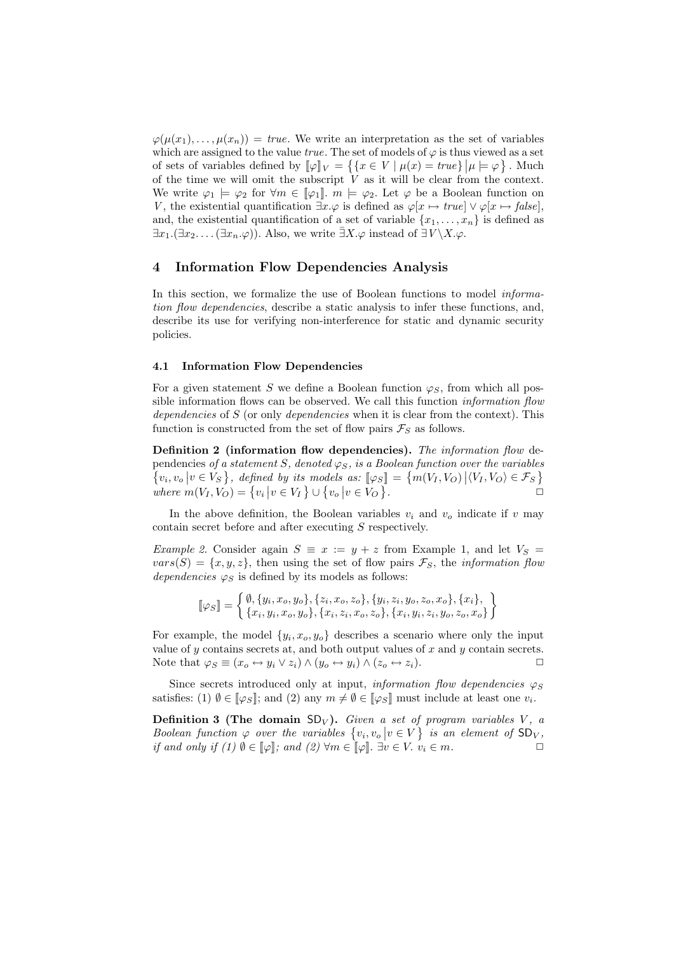$\varphi(\mu(x_1),\ldots,\mu(x_n)) = \text{true}$ . We write an interpretation as the set of variables which are assigned to the value *true*. The set of models of  $\varphi$  is thus viewed as a set of sets of variables defined by  $[\![\varphi]\!]_V = \{ \{x \in V \mid \mu(x) = true\} \mid \mu \models \varphi \}.$  Much of the time we will omit the subscript  $\dot{V}$  as it will be clear from the context. We write  $\varphi_1 \models \varphi_2$  for  $\forall m \in [\varphi_1]$ .  $m \models \varphi_2$ . Let  $\varphi$  be a Boolean function on V, the existential quantification  $\exists x.\varphi$  is defined as  $\varphi[x \mapsto true] \vee \varphi[x \mapsto false],$ and, the existential quantification of a set of variable  $\{x_1, \ldots, x_n\}$  is defined as  $\exists x_1.(\exists x_2. \ldots (\exists x_n.\varphi))$ . Also, we write  $\bar{\exists}X.\varphi$  instead of  $\bar{\exists}V \backslash X.\varphi$ .

# 4 Information Flow Dependencies Analysis

In this section, we formalize the use of Boolean functions to model *informa*tion flow dependencies, describe a static analysis to infer these functions, and, describe its use for verifying non-interference for static and dynamic security policies.

#### 4.1 Information Flow Dependencies

For a given statement S we define a Boolean function  $\varphi_S$ , from which all possible information flows can be observed. We call this function *information flow* dependencies of S (or only dependencies when it is clear from the context). This function is constructed from the set of flow pairs  $\mathcal{F}_S$  as follows.

Definition 2 (information flow dependencies). The information flow dependencies of a statement S, denoted  $\varphi_S$ , is a Boolean function over the variables  $\{v_i, v_o \mid v \in V_S\}$ , defined by its models as:  $[\varphi_S] = \{m(V_I, V_O) \mid \langle V_I, V_O \rangle \in \mathcal{F}_S\}$ where  $m(V_I, V_O) = \{v_i | v \in V_I\} \cup \{v_o | v \in V_O\}$ . The contract of  $\Box$ 

In the above definition, the Boolean variables  $v_i$  and  $v_o$  indicate if v may contain secret before and after executing S respectively.

Example 2. Consider again  $S \equiv x := y + z$  from Example 1, and let  $V_S =$  $vars(S) = {x, y, z}$ , then using the set of flow pairs  $\mathcal{F}_S$ , the *information flow* dependencies  $\varphi_S$  is defined by its models as follows:

$$
\[\varphi_S\] = \left\{\begin{matrix}\n\emptyset, \{y_i, x_o, y_o\}, \{z_i, x_o, z_o\}, \{y_i, z_i, y_o, z_o, x_o\}, \{x_i\}, \\ \{x_i, y_i, x_o, y_o\}, \{x_i, z_i, x_o, z_o\}, \{x_i, y_i, z_i, y_o, z_o, x_o\}\n\end{matrix}\right\}
$$

For example, the model  $\{y_i, x_o, y_o\}$  describes a scenario where only the input value of  $y$  contains secrets at, and both output values of  $x$  and  $y$  contain secrets. Note that  $\varphi_S \equiv (x_o \leftrightarrow y_i \lor z_i) \land (y_o \leftrightarrow y_i) \land (z_o \leftrightarrow z_i).$ 

Since secrets introduced only at input, *information flow dependencies*  $\varphi_S$ satisfies: (1)  $\emptyset \in [\![\varphi_S]\!]$ ; and (2) any  $m \neq \emptyset \in [\![\varphi_S]\!]$  must include at least one  $v_i$ .

**Definition 3 (The domain SD**<sub>V</sub>). Given a set of program variables V, a Boolean function  $\varphi$  over the variables  $\{v_i, v_o | v \in V\}$  is an element of  $SD_{V}$ , if and only if (1)  $\emptyset \in [\![\varphi]\!]$ ; and (2)  $\forall m \in [\![\varphi]\!]$ .  $\exists v \in V$ .  $v_i \in m$ .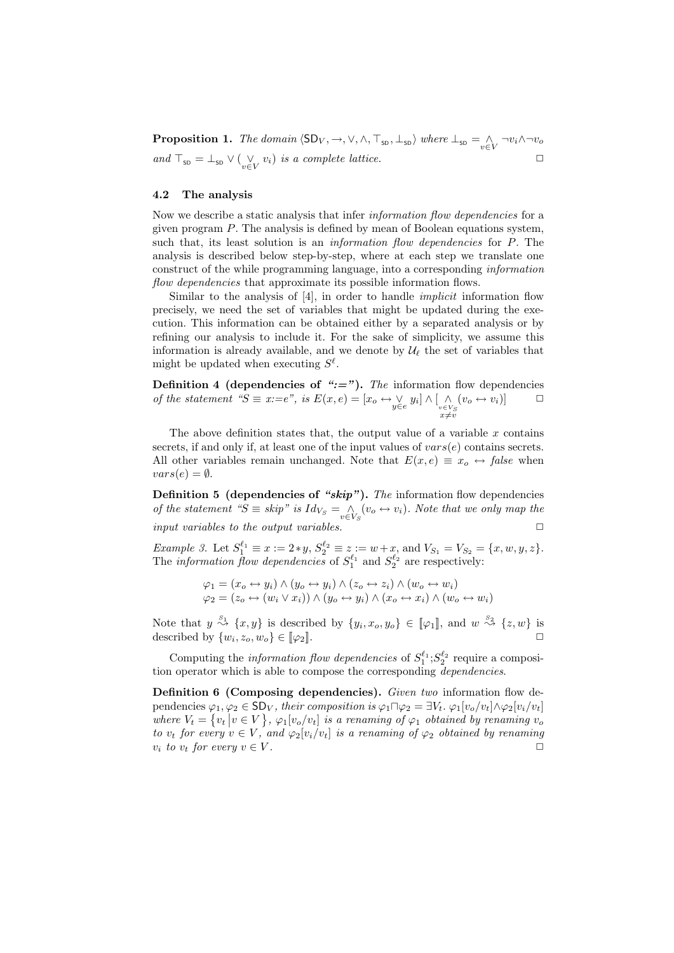**Proposition 1.** The domain  $\langle SD_V, \rightarrow, \vee, \wedge, \top_{\text{SD}}, \bot_{\text{SD}} \rangle$  where  $\bot_{\text{SD}} = \bigwedge_{v \in V} \neg v_i \wedge \neg v_o$ and  $\top_{\text{SD}} = \bot_{\text{SD}} \vee (\bigvee_{v \in V} v_i)$  is a complete lattice.

### 4.2 The analysis

Now we describe a static analysis that infer *information flow dependencies* for a given program  $P$ . The analysis is defined by mean of Boolean equations system, such that, its least solution is an *information flow dependencies* for P. The analysis is described below step-by-step, where at each step we translate one construct of the while programming language, into a corresponding information flow dependencies that approximate its possible information flows.

Similar to the analysis of [4], in order to handle *implicit* information flow precisely, we need the set of variables that might be updated during the execution. This information can be obtained either by a separated analysis or by refining our analysis to include it. For the sake of simplicity, we assume this information is already available, and we denote by  $\mathcal{U}_{\ell}$  the set of variables that might be updated when executing  $S^{\ell}$ .

Definition 4 (dependencies of " $:=$ "). The information flow dependencies of the statement " $S \equiv x:=e^{\gamma}$ , is  $E(x,e) = [x_o \leftrightarrow \vee_{y \in e} y_i] \wedge [\wedge_{v \in V_S} \wedge_{x \neq v} y_i]$  $(v_o \leftrightarrow v_i)]$   $\Box$ 

The above definition states that, the output value of a variable  $x$  contains secrets, if and only if, at least one of the input values of  $vars(e)$  contains secrets. All other variables remain unchanged. Note that  $E(x, e) \equiv x_o \leftrightarrow false$  when  $vars(e) = \emptyset.$ 

**Definition 5 (dependencies of "skip").** The information flow dependencies of the statement " $S \equiv skip$ " is  $Id_{V_S} = \bigwedge_{v \in V_S} (v_o \leftrightarrow v_i)$ . Note that we only map the input variables to the output variables.  $\Box$ 

Example 3. Let  $S_1^{\ell_1} \equiv x := 2*y, S_2^{\ell_2} \equiv z := w+x$ , and  $V_{S_1} = V_{S_2} = \{x, w, y, z\}.$ The *information flow dependencies* of  $S_1^{\ell_1}$  and  $S_2^{\ell_2}$  are respectively:

$$
\varphi_1 = (x_o \leftrightarrow y_i) \land (y_o \leftrightarrow y_i) \land (z_o \leftrightarrow z_i) \land (w_o \leftrightarrow w_i)
$$
  

$$
\varphi_2 = (z_o \leftrightarrow (w_i \lor x_i)) \land (y_o \leftrightarrow y_i) \land (x_o \leftrightarrow x_i) \land (w_o \leftrightarrow w_i)
$$

Note that  $y \stackrel{s_1}{\rightsquigarrow} \{x, y\}$  is described by  $\{y_i, x_o, y_o\} \in [\![\varphi_1]\!]$ , and  $w \stackrel{s_2}{\rightsquigarrow} \{z, w\}$  is described by  $\{w_i, z_o, w_o\} \in [\![\varphi_2]\!]$ .

Computing the *information flow dependencies* of  $S_1^{\ell_1}$ ;  $S_2^{\ell_2}$  require a composition operator which is able to compose the corresponding *dependencies*.

Definition 6 (Composing dependencies). Given two information flow dependencies  $\varphi_1, \varphi_2 \in SD_V$ , their composition is  $\varphi_1 \sqcap \varphi_2 = \exists V_t \cdot \varphi_1[v_o/v_t] \wedge \varphi_2[v_i/v_t]$ where  $V_t = \{v_t | v \in V\}$ ,  $\varphi_1[v_o/v_t]$  is a renaming of  $\varphi_1$  obtained by renaming  $v_o$ to  $v_t$  for every  $v \in V$ , and  $\varphi_2[v_i/v_t]$  is a renaming of  $\varphi_2$  obtained by renaming  $v_i$  to  $v_t$  for every  $v \in V$ .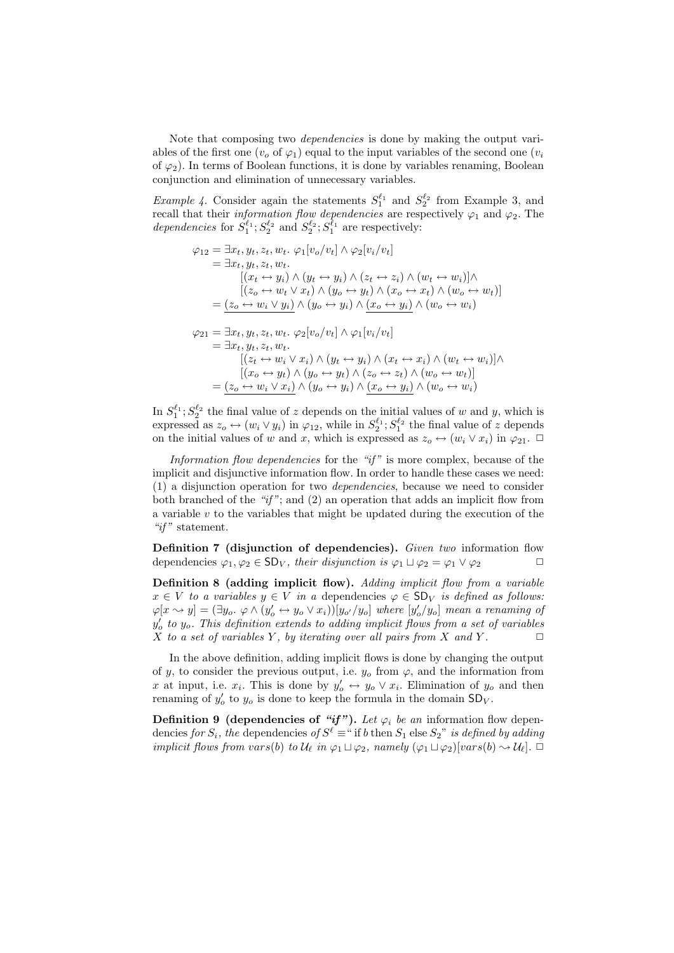Note that composing two dependencies is done by making the output variables of the first one  $(v_0 \text{ of } \varphi_1)$  equal to the input variables of the second one  $(v_i$ of  $\varphi_2$ ). In terms of Boolean functions, it is done by variables renaming, Boolean conjunction and elimination of unnecessary variables.

*Example 4.* Consider again the statements  $S_1^{\ell_1}$  and  $S_2^{\ell_2}$  from Example 3, and recall that their *information flow dependencies* are respectively  $\varphi_1$  and  $\varphi_2$ . The dependencies for  $S_1^{\ell_1}$ ;  $S_2^{\ell_2}$  and  $S_2^{\ell_2}$ ;  $S_1^{\ell_1}$  are respectively:

$$
\varphi_{12} = \exists x_t, y_t, z_t, w_t. \varphi_1[v_o/v_t] \wedge \varphi_2[v_i/v_t]
$$
  
\n
$$
= \exists x_t, y_t, z_t, w_t.
$$
  
\n
$$
[(x_t \leftrightarrow y_i) \wedge (y_t \leftrightarrow y_i) \wedge (z_t \leftrightarrow z_i) \wedge (w_t \leftrightarrow w_i)] \wedge
$$
  
\n
$$
[(z_o \leftrightarrow w_t \vee x_t) \wedge (y_o \leftrightarrow y_t) \wedge (x_o \leftrightarrow x_t) \wedge (w_o \leftrightarrow w_t)]
$$
  
\n
$$
= (z_o \leftrightarrow w_i \vee y_i) \wedge (y_o \leftrightarrow y_i) \wedge (x_o \leftrightarrow y_i) \wedge (w_o \leftrightarrow w_i)
$$
  
\n
$$
\varphi_{21} = \exists x_t, y_t, z_t, w_t. \varphi_2[v_o/v_t] \wedge \varphi_1[v_i/v_t]
$$
  
\n
$$
= \exists x_t, y_t, z_t, w_t.
$$
  
\n
$$
[(z_t \leftrightarrow w_i \vee x_i) \wedge (y_t \leftrightarrow y_i) \wedge (x_t \leftrightarrow x_i) \wedge (w_t \leftrightarrow w_i)] \wedge
$$
  
\n
$$
[(x_o \leftrightarrow y_t) \wedge (y_o \leftrightarrow y_t) \wedge (z_o \leftrightarrow z_t) \wedge (w_o \leftrightarrow w_t)]
$$
  
\n
$$
= (z_o \leftrightarrow w_i \vee x_i) \wedge (y_o \leftrightarrow y_i) \wedge (x_o \leftrightarrow y_i) \wedge (w_o \leftrightarrow w_i)
$$

In  $S_1^{\ell_1}$ ;  $S_2^{\ell_2}$  the final value of z depends on the initial values of w and y, which is expressed as  $z_o \leftrightarrow (w_i \vee y_i)$  in  $\varphi_{12}$ , while in  $S_2^{\ell_1}$ ;  $S_1^{\ell_2}$  the final value of z depends on the initial values of w and x, which is expressed as  $z_0 \leftrightarrow (w_i \vee x_i)$  in  $\varphi_{21}$ .  $\Box$ 

Information flow dependencies for the " $if$ " is more complex, because of the implicit and disjunctive information flow. In order to handle these cases we need: (1) a disjunction operation for two dependencies, because we need to consider both branched of the " $if$ "; and (2) an operation that adds an implicit flow from a variable  $v$  to the variables that might be updated during the execution of the " $if$ " statement.

Definition 7 (disjunction of dependencies). Given two information flow dependencies  $\varphi_1, \varphi_2 \in SD_V$ , their disjunction is  $\varphi_1 \sqcup \varphi_2 = \varphi_1 \vee \varphi_2 \qquad \square$ 

Definition 8 (adding implicit flow). Adding implicit flow from a variable  $x \in V$  to a variables  $y \in V$  in a dependencies  $\varphi \in SD_V$  is defined as follows:  $\varphi[x \leadsto y] = (\exists y_o \ldots \varphi \land (y_o' \leftrightarrow y_o \lor x_i))[y_{o'}/y_o]$  where  $[y_o'/y_o]$  mean a renaming of  $y'_{o}$  to  $y_{o}$ . This definition extends to adding implicit flows from a set of variables X to a set of variables Y, by iterating over all pairs from X and Y.  $\Box$ 

In the above definition, adding implicit flows is done by changing the output of y, to consider the previous output, i.e.  $y<sub>o</sub>$  from  $\varphi$ , and the information from x at input, i.e.  $x_i$ . This is done by  $y'_o \leftrightarrow y_o \vee x_i$ . Elimination of  $y_o$  and then renaming of  $y'_o$  to  $y_o$  is done to keep the formula in the domain  $SD_V$ .

**Definition 9 (dependencies of "if").** Let  $\varphi_i$  be an information flow dependencies for  $S_i$ , the dependencies of  $S^{\ell} \equiv$  " if b then  $S_1$  else  $S_2$ " is defined by adding implicit flows from vars(b) to  $\mathcal{U}_{\ell}$  in  $\varphi_1 \sqcup \varphi_2$ , namely  $(\varphi_1 \sqcup \varphi_2)[vars(b) \leadsto \mathcal{U}_{\ell}]$ .  $\Box$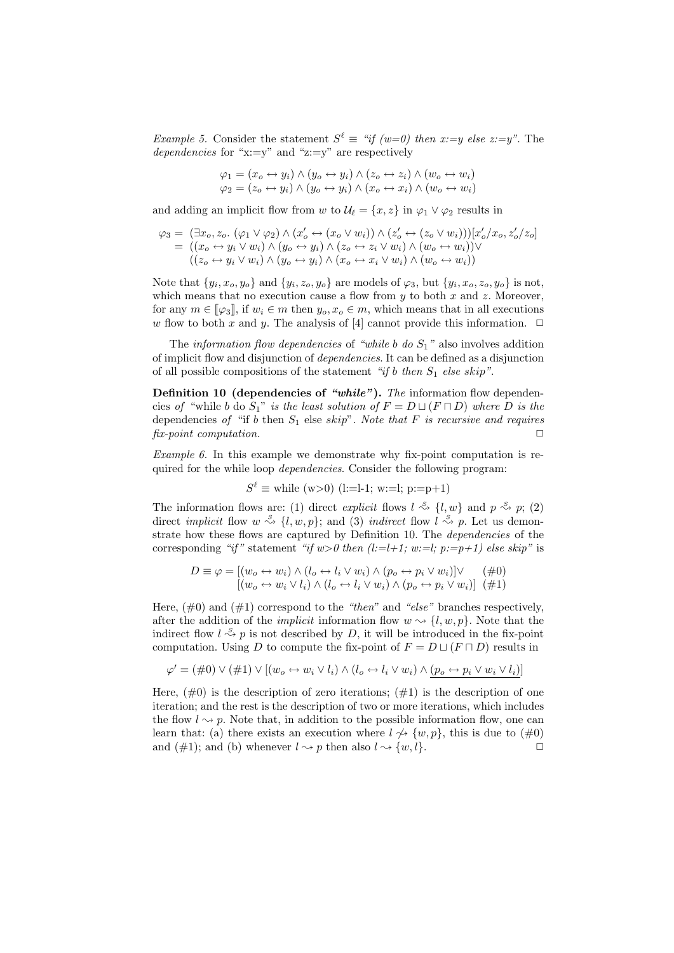*Example 5.* Consider the statement  $S^{\ell} \equiv \pi f(w=0)$  then x:=y else z:=y". The dependencies for "x:=y" and "z:=y" are respectively

$$
\varphi_1 = (x_o \leftrightarrow y_i) \land (y_o \leftrightarrow y_i) \land (z_o \leftrightarrow z_i) \land (w_o \leftrightarrow w_i)
$$
  

$$
\varphi_2 = (z_o \leftrightarrow y_i) \land (y_o \leftrightarrow y_i) \land (x_o \leftrightarrow x_i) \land (w_o \leftrightarrow w_i)
$$

and adding an implicit flow from w to  $\mathcal{U}_{\ell} = \{x, z\}$  in  $\varphi_1 \vee \varphi_2$  results in

$$
\varphi_3 = (\exists x_o, z_o. \ (\varphi_1 \lor \varphi_2) \land (x'_o \leftrightarrow (x_o \lor w_i)) \land (z'_o \leftrightarrow (z_o \lor w_i))] [x'_o/x_o, z'_o/z_o]
$$
  
= ((x\_o \leftrightarrow y\_i \lor w\_i) \land (y\_o \leftrightarrow y\_i) \land (z\_o \leftrightarrow z\_i \lor w\_i) \land (w\_o \leftrightarrow w\_i)) \lor  
((z\_o \leftrightarrow y\_i \lor w\_i) \land (y\_o \leftrightarrow y\_i) \land (x\_o \leftrightarrow x\_i \lor w\_i) \land (w\_o \leftrightarrow w\_i))

Note that  $\{y_i, x_o, y_o\}$  and  $\{y_i, z_o, y_o\}$  are models of  $\varphi_3$ , but  $\{y_i, x_o, z_o, y_o\}$  is not, which means that no execution cause a flow from  $y$  to both  $x$  and  $z$ . Moreover, for any  $m \in [\![\varphi_3]\!]$ , if  $w_i \in m$  then  $y_o, x_o \in m$ , which means that in all executions w flow to both x and y. The analysis of [4] cannot provide this information.  $\Box$ 

The *information flow dependencies* of "while b do  $S_1$ " also involves addition of implicit flow and disjunction of dependencies. It can be defined as a disjunction of all possible compositions of the statement "if b then  $S_1$  else skip".

Definition 10 (dependencies of "while"). The information flow dependencies of "while b do  $S_1$ " is the least solution of  $F = D \sqcup (F \sqcap D)$  where D is the dependencies of "if b then  $S_1$  else skip". Note that F is recursive and requires fix-point computation.  $\Box$ 

Example 6. In this example we demonstrate why fix-point computation is required for the while loop *dependencies*. Consider the following program:

$$
S^{\ell} \equiv
$$
 while (w>0) (l:=l-1; w:=l; p:=p+1)

The information flows are: (1) direct explicit flows  $l \stackrel{S}{\rightsquigarrow} \{l, w\}$  and  $p \stackrel{S}{\rightsquigarrow} p$ ; (2) direct *implicit* flow  $w \stackrel{S}{\leadsto} \{l, w, p\}$ ; and (3) *indirect* flow  $l \stackrel{S}{\leadsto} p$ . Let us demonstrate how these flows are captured by Definition 10. The *dependencies* of the corresponding "if" statement "if  $w>0$  then  $(l:=l+1; w:=l; p:=p+1)$  else skip" is

$$
D \equiv \varphi = [(w_o \leftrightarrow w_i) \land (l_o \leftrightarrow l_i \lor w_i) \land (p_o \leftrightarrow p_i \lor w_i)] \lor \text{(#0)}
$$
  

$$
[(w_o \leftrightarrow w_i \lor l_i) \land (l_o \leftrightarrow l_i \lor w_i) \land (p_o \leftrightarrow p_i \lor w_i)] \text{ (#1)}
$$

Here,  $(\#0)$  and  $(\#1)$  correspond to the "then" and "else" branches respectively, after the addition of the *implicit* information flow  $w \sim \{l, w, p\}$ . Note that the indirect flow  $l \stackrel{s}{\leadsto} p$  is not described by D, it will be introduced in the fix-point computation. Using D to compute the fix-point of  $F = D \sqcup (F \sqcap D)$  results in

$$
\varphi' = (\#0) \vee (\#1) \vee [(w_o \leftrightarrow w_i \vee l_i) \wedge (l_o \leftrightarrow l_i \vee w_i) \wedge (p_o \leftrightarrow p_i \vee w_i \vee l_i)]
$$

Here,  $(\#0)$  is the description of zero iterations;  $(\#1)$  is the description of one iteration; and the rest is the description of two or more iterations, which includes the flow  $l \rightarrow p$ . Note that, in addition to the possible information flow, one can learn that: (a) there exists an execution where  $l \nsim \{w, p\}$ , this is due to  $(\#0)$ and (#1); and (b) whenever  $l \rightsquigarrow p$  then also  $l \rightsquigarrow \{w, l\}.$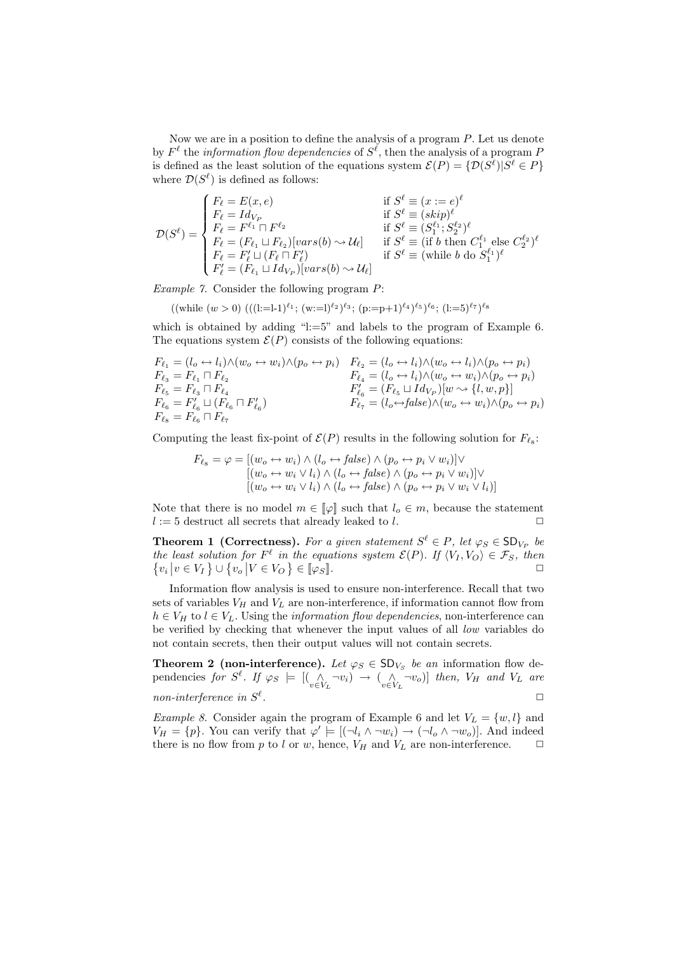Now we are in a position to define the analysis of a program P. Let us denote by  $F^{\ell}$  the *information flow dependencies* of  $S^{\ell}$ , then the analysis of a program F is defined as the least solution of the equations system  $\mathcal{E}(P) = \{ \mathcal{D}(S^{\ell}) | S^{\ell} \in P \}$ where  $\mathcal{D}(S^{\ell})$  is defined as follows:

$$
\mathcal{D}(S^{\ell}) = \begin{cases} F_{\ell} = E(x, e) & \text{if } S^{\ell} \equiv (x := e)^{\ell} \\ F_{\ell} = Id_{V_P} & \text{if } S^{\ell} \equiv (skip)^{\ell} \\ F_{\ell} = F^{\ell_1} \sqcap F^{\ell_2} & \text{if } S^{\ell} \equiv (S_1^{\ell_1}; S_2^{\ell_2})^{\ell} \\ F_{\ell} = (F_{\ell_1} \sqcup F_{\ell_2})[vars(b) \leadsto \mathcal{U}_{\ell}] & \text{if } S^{\ell} \equiv (if \ b \ \text{then } C_1^{\ell_1} \ \text{else } C_2^{\ell_2})^{\ell} \\ F_{\ell} = F'_{\ell} \sqcup (F_{\ell} \sqcap F'_{\ell}) & \text{if } S^{\ell} \equiv (\text{while } b \ \text{do } S_1^{\ell_1})^{\ell} \\ F'_{\ell} = (F_{\ell_1} \sqcup Id_{V_P})[vars(b) \leadsto \mathcal{U}_{\ell}] & \end{cases}
$$

Example 7. Consider the following program P:

$$
((\text{while } (w > 0) \ (((!=l-1)^{\ell_1}; \ (w:=l)^{\ell_2})^{\ell_3}; \ (p:=p+1)^{\ell_4})^{\ell_5})^{\ell_6}; \ (l:=5)^{\ell_7})^{\ell_8}
$$

which is obtained by adding "l:=5" and labels to the program of Example 6. The equations system  $\mathcal{E}(P)$  consists of the following equations:

$$
F_{\ell_1} = (l_o \leftrightarrow l_i) \land (w_o \leftrightarrow w_i) \land (p_o \leftrightarrow p_i) \quad F_{\ell_2} = (l_o \leftrightarrow l_i) \land (w_o \leftrightarrow l_i) \land (p_o \leftrightarrow p_i)
$$
\n
$$
F_{\ell_3} = F_{\ell_1} \sqcap F_{\ell_2} \qquad F_{\ell_4} = (l_o \leftrightarrow l_i) \land (w_o \leftrightarrow w_i) \land (p_o \leftrightarrow p_i)
$$
\n
$$
F_{\ell_5} = F_{\ell_3} \sqcap F_{\ell_4} \qquad F'_{\ell_6} = (F_{\ell_5} \sqcup Id_{V_P})[w \sim \{l, w, p\}]
$$
\n
$$
F_{\ell_6} = F'_{\ell_6} \sqcup (F_{\ell_6} \sqcap F'_{\ell_6}) \qquad F_{\ell_7} = (l_o \leftrightarrow false) \land (w_o \leftrightarrow w_i) \land (p_o \leftrightarrow p_i)
$$
\n
$$
F_{\ell_8} = F_{\ell_6} \sqcap F_{\ell_7}
$$

Computing the least fix-point of  $\mathcal{E}(P)$  results in the following solution for  $F_{\ell_8}$ :

$$
F_{\ell_8} = \varphi = [(w_o \leftrightarrow w_i) \land (l_o \leftrightarrow false) \land (p_o \leftrightarrow p_i \lor w_i)] \lor [(w_o \leftrightarrow w_i \lor l_i) \land (l_o \leftrightarrow false) \land (p_o \leftrightarrow p_i \lor w_i)] \lor [(w_o \leftrightarrow w_i \lor l_i) \land (l_o \leftrightarrow false) \land (p_o \leftrightarrow p_i \lor w_i \lor l_i)]
$$

Note that there is no model  $m \in [\![\varphi]\!]$  such that  $l_o \in m$ , because the statement  $l := 5$  destruct all secrets that already leaked to  $l$ .

**Theorem 1 (Correctness).** For a given statement  $S^{\ell} \in P$ , let  $\varphi_S \in SD_{V_P}$  be the least solution for  $F^{\ell}$  in the equations system  $\mathcal{E}(P)$ . If  $\langle V_I, V_O \rangle \in \mathcal{F}_S$ , then  $\{v_i | v \in V_I\} \cup \{v_o | V \in V_O\} \in [\![\varphi_S]\!]$ .

Information flow analysis is used to ensure non-interference. Recall that two sets of variables  $V_H$  and  $V_L$  are non-interference, if information cannot flow from  $h \in V_H$  to  $l \in V_L$ . Using the *information flow dependencies*, non-interference can be verified by checking that whenever the input values of all low variables do not contain secrets, then their output values will not contain secrets.

**Theorem 2 (non-interference).** Let  $\varphi_S \in SD_{V_S}$  be an information flow dependencies for  $S^{\ell}$ . If  $\varphi_S \models [(\bigwedge_{v \in V_L} \neg v_i) \rightarrow (\bigwedge_{v \in V_L} \neg v_o)]$  then,  $V_H$  and  $V_L$  are non-interference in  $S^{\ell}$ . The contract of the contract of the contract of  $\Box$ 

Example 8. Consider again the program of Example 6 and let  $V_L = \{w, l\}$  and  $V_H = \{p\}$ . You can verify that  $\varphi' \models [(\neg l_i \land \neg w_i) \rightarrow (\neg l_o \land \neg w_o)]$ . And indeed there is no flow from  $p$  to l or  $w$ , hence,  $V_H$  and  $V_L$  are non-interference.  $\Box$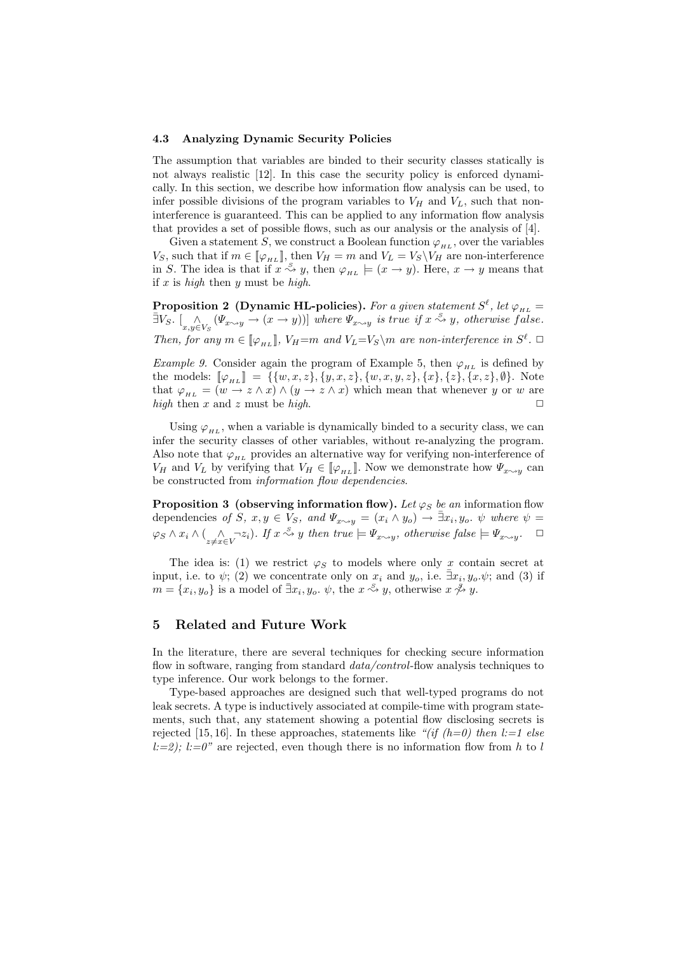#### 4.3 Analyzing Dynamic Security Policies

The assumption that variables are binded to their security classes statically is not always realistic [12]. In this case the security policy is enforced dynamically. In this section, we describe how information flow analysis can be used, to infer possible divisions of the program variables to  $V_H$  and  $V_L$ , such that noninterference is guaranteed. This can be applied to any information flow analysis that provides a set of possible flows, such as our analysis or the analysis of [4].

Given a statement S, we construct a Boolean function  $\varphi_{HL}$ , over the variables  $V_S$ , such that if  $m \in [\![\varphi_{H_L}]\!]$ , then  $V_H = m$  and  $V_L = V_S \backslash V_H$  are non-interference in S. The idea is that if  $x \stackrel{S}{\leadsto} y$ , then  $\varphi_{HL} \models (x \to y)$ . Here,  $x \to y$  means that if  $x$  is high then  $y$  must be high.

Proposition 2 (Dynamic HL-policies). For a given statement  $S^{\ell}$ , let  $\varphi_{_{HL}} =$  $\bar{\exists}V_S. \left[ \bigwedge_{x,y \in V_S} (\Psi_{x \leadsto y} \to (x \to y))] \right]$  where  $\Psi_{x \leadsto y}$  is true if  $x \stackrel{S}{\leadsto} y$ , otherwise false. Then, for any  $m \in [\varphi_{H_L}]$ ,  $V_H = m$  and  $V_L = V_S \backslash m$  are non-interference in  $S^{\ell}$ .

Example 9. Consider again the program of Example 5, then  $\varphi_{H_L}$  is defined by the models:  $[\![\varphi_{H_L}]\!] = \{\{w,x,z\}, \{y,x,z\}, \{w,x,y,z\}, \{x\}, \{z\}, \{x,z\}, \emptyset\}$ . Note that  $\varphi_{HL} = (w \to z \land x) \land (y \to z \land x)$  which mean that whenever y or w are high then x and z must be high.  $\square$ 

Using  $\varphi_{HL}$ , when a variable is dynamically binded to a security class, we can infer the security classes of other variables, without re-analyzing the program. Also note that  $\varphi_{H}$  provides an alternative way for verifying non-interference of  $V_H$  and  $V_L$  by verifying that  $V_H \in [\![\varphi_{H_L}]\!]$ . Now we demonstrate how  $\Psi_{x \sim y}$  can be constructed from information flow dependencies.

**Proposition 3** (observing information flow). Let  $\varphi_S$  be an information flow dependencies of  $S, x, y \in V_S$ , and  $\Psi_{x \sim y} = (x_i \wedge y_o) \rightarrow \exists x_i, y_o$ .  $\psi$  where  $\psi =$  $\varphi_S \wedge x_i \wedge (\bigwedge_{z \neq x \in V} \neg z_i)$ . If  $x \stackrel{S}{\leadsto} y$  then true  $\models \Psi_{x \sim y}$ , otherwise false  $\models \Psi_{x \sim y}$ .  $\Box$ 

The idea is: (1) we restrict  $\varphi_S$  to models where only x contain secret at input, i.e. to  $\psi$ ; (2) we concentrate only on  $x_i$  and  $y_o$ , i.e.  $\bar{\exists}x_i, y_o \psi$ ; and (3) if  $m = \{x_i, y_o\}$  is a model of  $\bar{\exists}x_i, y_o \cdot \psi$ , the  $x \stackrel{S}{\leadsto} y$ , otherwise  $x \stackrel{S}{\leadsto} y$ .

### 5 Related and Future Work

In the literature, there are several techniques for checking secure information flow in software, ranging from standard *data/control*-flow analysis techniques to type inference. Our work belongs to the former.

Type-based approaches are designed such that well-typed programs do not leak secrets. A type is inductively associated at compile-time with program statements, such that, any statement showing a potential flow disclosing secrets is rejected [15, 16]. In these approaches, statements like "(if (h=0) then l:=1 else  $l:=2$ ;  $l:=0$  are rejected, even though there is no information flow from h to l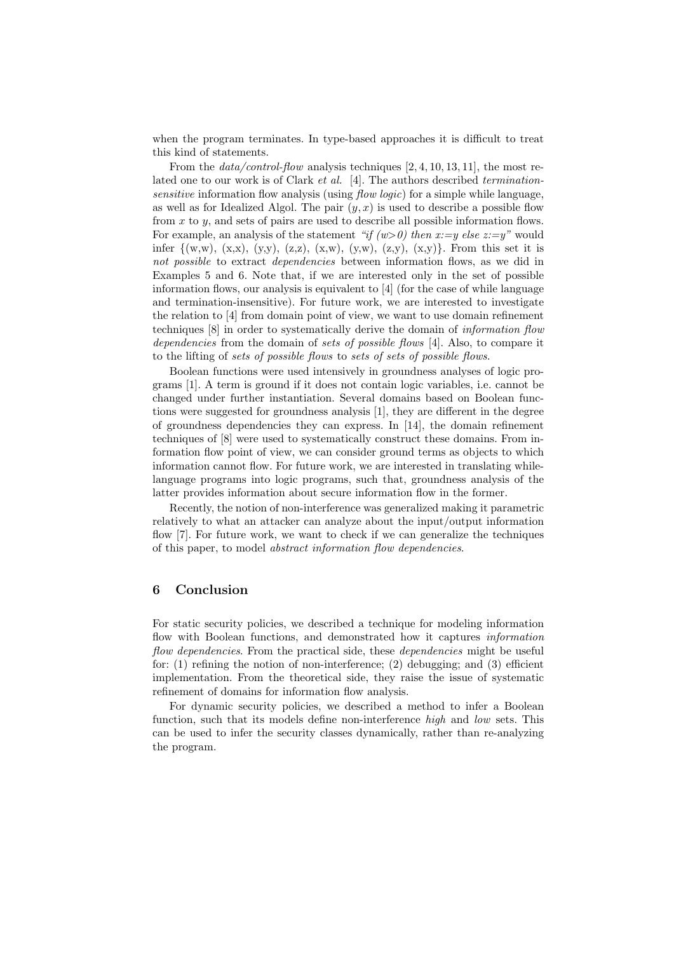when the program terminates. In type-based approaches it is difficult to treat this kind of statements.

From the  $data/control-flow$  analysis techniques  $[2, 4, 10, 13, 11]$ , the most related one to our work is of Clark et al. [4]. The authors described terminationsensitive information flow analysis (using *flow logic*) for a simple while language, as well as for Idealized Algol. The pair  $(y, x)$  is used to describe a possible flow from  $x$  to  $y$ , and sets of pairs are used to describe all possible information flows. For example, an analysis of the statement "if  $(w>0)$  then x:=y else z:=y" would infer  $\{(w,w), (x,x), (y,y), (z,z), (x,w), (y,w), (z,y), (x,y)\}.$  From this set it is not possible to extract *dependencies* between information flows, as we did in Examples 5 and 6. Note that, if we are interested only in the set of possible information flows, our analysis is equivalent to [4] (for the case of while language and termination-insensitive). For future work, we are interested to investigate the relation to [4] from domain point of view, we want to use domain refinement techniques [8] in order to systematically derive the domain of information flow dependencies from the domain of sets of possible flows [4]. Also, to compare it to the lifting of sets of possible flows to sets of sets of possible flows.

Boolean functions were used intensively in groundness analyses of logic programs [1]. A term is ground if it does not contain logic variables, i.e. cannot be changed under further instantiation. Several domains based on Boolean functions were suggested for groundness analysis [1], they are different in the degree of groundness dependencies they can express. In [14], the domain refinement techniques of [8] were used to systematically construct these domains. From information flow point of view, we can consider ground terms as objects to which information cannot flow. For future work, we are interested in translating whilelanguage programs into logic programs, such that, groundness analysis of the latter provides information about secure information flow in the former.

Recently, the notion of non-interference was generalized making it parametric relatively to what an attacker can analyze about the input/output information flow [7]. For future work, we want to check if we can generalize the techniques of this paper, to model abstract information flow dependencies.

# 6 Conclusion

For static security policies, we described a technique for modeling information flow with Boolean functions, and demonstrated how it captures *information* flow dependencies. From the practical side, these dependencies might be useful for:  $(1)$  refining the notion of non-interference;  $(2)$  debugging; and  $(3)$  efficient implementation. From the theoretical side, they raise the issue of systematic refinement of domains for information flow analysis.

For dynamic security policies, we described a method to infer a Boolean function, such that its models define non-interference high and low sets. This can be used to infer the security classes dynamically, rather than re-analyzing the program.